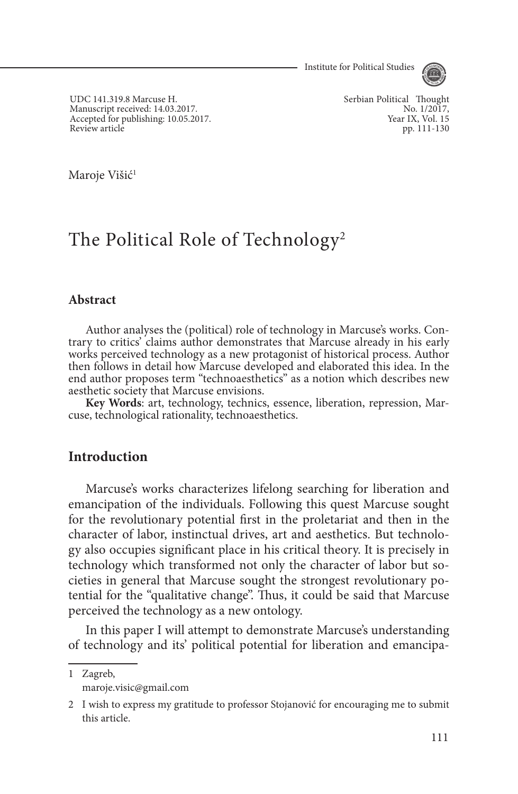- Institute for Political Studies



UDC 141.319.8 Marcuse H. Manuscript received: 14.03.2017. Accepted for publishing: 10.05.2017. Review article

Serbian Political Thought No. 1/2017, Year IX, Vol. 15 pp. 111-130

Maroje Višić<sup>1</sup>

# The Political Role of Technology<sup>2</sup>

### **Abstract**

Author analyses the (political) role of technology in Marcuse's works. Con- trary to critics' claims author demonstrates that Marcuse already in his early works perceived technology as a new protagonist of historical process. Author then follows in detail how Marcuse developed and elaborated this idea. In the end author proposes term "technoaesthetics" as a notion which describes new aesthetic society that Marcuse envisions.

Key Words: art, technology, technics, essence, liberation, repression, Mar-<br>cuse, technological rationality, technoaesthetics.

### **Introduction**

Marcuse's works characterizes lifelong searching for liberation and emancipation of the individuals. Following this quest Marcuse sought for the revolutionary potential first in the proletariat and then in the character of labor, instinctual drives, art and aesthetics. But technology also occupies significant place in his critical theory. It is precisely in technology which transformed not only the character of labor but societies in general that Marcuse sought the strongest revolutionary potential for the "qualitative change". Thus, it could be said that Marcuse perceived the technology as a new ontology.

In this paper I will attempt to demonstrate Marcuse's understanding of technology and its' political potential for liberation and emancipa-

1 Zagreb,

maroje.visic@gmail.com

<sup>2</sup> I wish to express my gratitude to professor Stojanović for encouraging me to submit this article.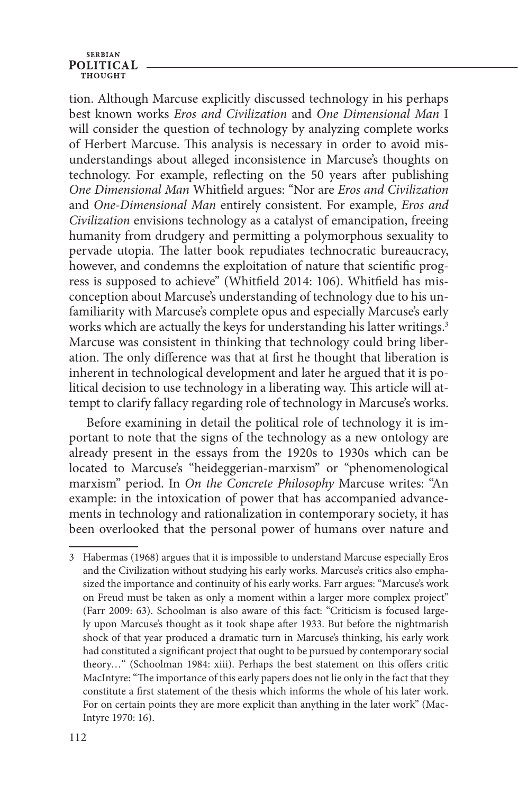tion. Although Marcuse explicitly discussed technology in his perhaps best known works *Eros and Civilization* and *One Dimensional Man* I will consider the question of technology by analyzing complete works of Herbert Marcuse. This analysis is necessary in order to avoid misunderstandings about alleged inconsistence in Marcuse's thoughts on technology. For example, reflecting on the 50 years after publishing *One Dimensional Man* Whitfield argues: "Nor are *Eros and Civilization* and *One-Dimensional Man* entirely consistent. For example, *Eros and Civilization* envisions technology as a catalyst of emancipation, freeing humanity from drudgery and permitting a polymorphous sexuality to pervade utopia. The latter book repudiates technocratic bureaucracy, however, and condemns the exploitation of nature that scientific progress is supposed to achieve" (Whitfield 2014: 106). Whitfield has misconception about Marcuse's understanding of technology due to his unfamiliarity with Marcuse's complete opus and especially Marcuse's early works which are actually the keys for understanding his latter writings.<sup>3</sup> Marcuse was consistent in thinking that technology could bring liberation. The only difference was that at first he thought that liberation is inherent in technological development and later he argued that it is political decision to use technology in a liberating way. This article will attempt to clarify fallacy regarding role of technology in Marcuse's works.

Before examining in detail the political role of technology it is important to note that the signs of the technology as a new ontology are already present in the essays from the 1920s to 1930s which can be located to Marcuse's "heideggerian-marxism" or "phenomenological marxism" period. In *On the Concrete Philosophy* Marcuse writes: "An example: in the intoxication of power that has accompanied advancements in technology and rationalization in contemporary society, it has been overlooked that the personal power of humans over nature and

<sup>3</sup> Habermas (1968) argues that it is impossible to understand Marcuse especially Eros and the Civilization without studying his early works. Marcuse's critics also emphasized the importance and continuity of his early works. Farr argues: "Marcuse's work on Freud must be taken as only a moment within a larger more complex project" (Farr 2009: 63). Schoolman is also aware of this fact: "Criticism is focused largely upon Marcuse's thought as it took shape after 1933. But before the nightmarish shock of that year produced a dramatic turn in Marcuse's thinking, his early work had constituted a significant project that ought to be pursued by contemporary social theory…" (Schoolman 1984: xiii). Perhaps the best statement on this offers critic MacIntyre: "The importance of this early papers does not lie only in the fact that they constitute a first statement of the thesis which informs the whole of his later work. For on certain points they are more explicit than anything in the later work" (Mac-Intyre 1970: 16).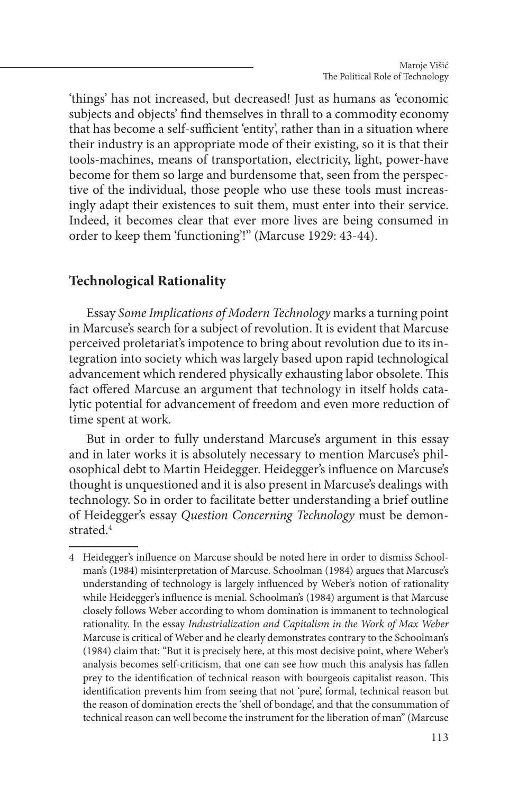'things' has not increased, but decreased! Just as humans as 'economic subjects and objects' find themselves in thrall to a commodity economy that has become a self-sufficient 'entity', rather than in a situation where their industry is an appropriate mode of their existing, so it is that their tools-machines, means of transportation, electricity, light, power-have become for them so large and burdensome that, seen from the perspective of the individual, those people who use these tools must increasingly adapt their existences to suit them, must enter into their service. Indeed, it becomes clear that ever more lives are being consumed in order to keep them 'functioning'!" (Marcuse 1929: 43-44).

### **Technological Rationality**

Essay *Some Implications of Modern Technology* marks a turning point in Marcuse's search for a subject of revolution. It is evident that Marcuse perceived proletariat's impotence to bring about revolution due to its integration into society which was largely based upon rapid technological advancement which rendered physically exhausting labor obsolete. This fact offered Marcuse an argument that technology in itself holds catalytic potential for advancement of freedom and even more reduction of time spent at work.

But in order to fully understand Marcuse's argument in this essay and in later works it is absolutely necessary to mention Marcuse's philosophical debt to Martin Heidegger. Heidegger's influence on Marcuse's thought is unquestioned and it is also present in Marcuse's dealings with technology. So in order to facilitate better understanding a brief outline of Heidegger's essay *Question Concerning Technology* must be demonstrated.<sup>4</sup>

<sup>4</sup> Heidegger's influence on Marcuse should be noted here in order to dismiss Schoolman's (1984) misinterpretation of Marcuse. Schoolman (1984) argues that Marcuse's understanding of technology is largely influenced by Weber's notion of rationality while Heidegger's influence is menial. Schoolman's (1984) argument is that Marcuse closely follows Weber according to whom domination is immanent to technological rationality. In the essay *Industrialization and Capitalism in the Work of Max Weber* Marcuse is critical of Weber and he clearly demonstrates contrary to the Schoolman's (1984) claim that: "But it is precisely here, at this most decisive point, where Weber's analysis becomes self-criticism, that one can see how much this analysis has fallen prey to the identification of technical reason with bourgeois capitalist reason. This identification prevents him from seeing that not 'pure', formal, technical reason but the reason of domination erects the 'shell of bondage', and that the consummation of technical reason can well become the instrument for the liberation of man" (Marcuse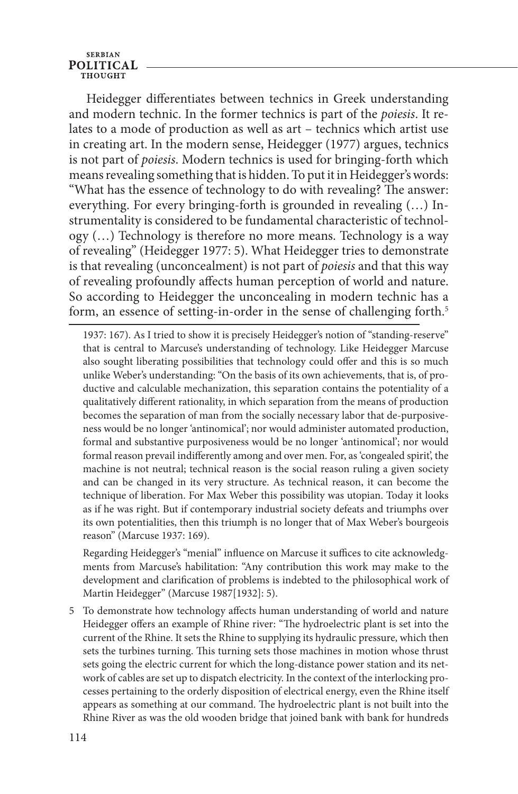Heidegger differentiates between technics in Greek understanding and modern technic. In the former technics is part of the *poiesis*. It relates to a mode of production as well as art – technics which artist use in creating art. In the modern sense, Heidegger (1977) argues, technics is not part of *poiesis*. Modern technics is used for bringing-forth which means revealing something that is hidden. To put it in Heidegger's words: "What has the essence of technology to do with revealing? The answer: everything. For every bringing-forth is grounded in revealing (…) Instrumentality is considered to be fundamental characteristic of technology (…) Technology is therefore no more means. Technology is a way of revealing" (Heidegger 1977: 5). What Heidegger tries to demonstrate is that revealing (unconcealment) is not part of *poiesis* and that this way of revealing profoundly affects human perception of world and nature. So according to Heidegger the unconcealing in modern technic has a form, an essence of setting-in-order in the sense of challenging forth.<sup>5</sup>

1937: 167). As I tried to show it is precisely Heidegger's notion of "standing-reserve" that is central to Marcuse's understanding of technology. Like Heidegger Marcuse also sought liberating possibilities that technology could offer and this is so much unlike Weber's understanding: "On the basis of its own achievements, that is, of productive and calculable mechanization, this separation contains the potentiality of a qualitatively different rationality, in which separation from the means of production becomes the separation of man from the socially necessary labor that de-purposiveness would be no longer 'antinomical'; nor would administer automated production, formal and substantive purposiveness would be no longer 'antinomical'; nor would formal reason prevail indifferently among and over men. For, as 'congealed spirit', the machine is not neutral; technical reason is the social reason ruling a given society and can be changed in its very structure. As technical reason, it can become the technique of liberation. For Max Weber this possibility was utopian. Today it looks as if he was right. But if contemporary industrial society defeats and triumphs over its own potentialities, then this triumph is no longer that of Max Weber's bourgeois reason" (Marcuse 1937: 169).

Regarding Heidegger's "menial" influence on Marcuse it suffices to cite acknowledgments from Marcuse's habilitation: "Any contribution this work may make to the development and clarification of problems is indebted to the philosophical work of Martin Heidegger" (Marcuse 1987[1932]: 5).

5 To demonstrate how technology affects human understanding of world and nature Heidegger offers an example of Rhine river: "The hydroelectric plant is set into the current of the Rhine. It sets the Rhine to supplying its hydraulic pressure, which then sets the turbines turning. This turning sets those machines in motion whose thrust sets going the electric current for which the long-distance power station and its network of cables are set up to dispatch electricity. In the context of the interlocking processes pertaining to the orderly disposition of electrical energy, even the Rhine itself appears as something at our command. The hydroelectric plant is not built into the Rhine River as was the old wooden bridge that joined bank with bank for hundreds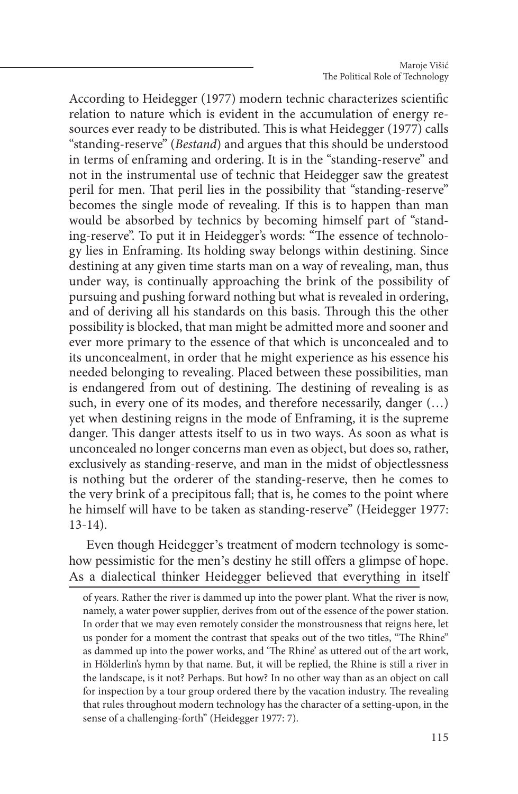According to Heidegger (1977) modern technic characterizes scientific relation to nature which is evident in the accumulation of energy resources ever ready to be distributed. This is what Heidegger (1977) calls "standing-reserve" (*Bestand*) and argues that this should be understood in terms of enframing and ordering. It is in the "standing-reserve" and not in the instrumental use of technic that Heidegger saw the greatest peril for men. That peril lies in the possibility that "standing-reserve" becomes the single mode of revealing. If this is to happen than man would be absorbed by technics by becoming himself part of "standing-reserve". To put it in Heidegger's words: "The essence of technology lies in Enframing. Its holding sway belongs within destining. Since destining at any given time starts man on a way of revealing, man, thus under way, is continually approaching the brink of the possibility of pursuing and pushing forward nothing but what is revealed in ordering, and of deriving all his standards on this basis. Through this the other possibility is blocked, that man might be admitted more and sooner and ever more primary to the essence of that which is unconcealed and to its unconcealment, in order that he might experience as his essence his needed belonging to revealing. Placed between these possibilities, man is endangered from out of destining. The destining of revealing is as such, in every one of its modes, and therefore necessarily, danger (…) yet when destining reigns in the mode of Enframing, it is the supreme danger. This danger attests itself to us in two ways. As soon as what is unconcealed no longer concerns man even as object, but does so, rather, exclusively as standing-reserve, and man in the midst of objectlessness is nothing but the orderer of the standing-reserve, then he comes to the very brink of a precipitous fall; that is, he comes to the point where he himself will have to be taken as standing-reserve" (Heidegger 1977: 13-14).

Even though Heidegger's treatment of modern technology is somehow pessimistic for the men's destiny he still offers a glimpse of hope. As a dialectical thinker Heidegger believed that everything in itself

of years. Rather the river is dammed up into the power plant. What the river is now, namely, a water power supplier, derives from out of the essence of the power station. In order that we may even remotely consider the monstrousness that reigns here, let us ponder for a moment the contrast that speaks out of the two titles, "The Rhine" as dammed up into the power works, and 'The Rhine' as uttered out of the art work, in Hölderlin's hymn by that name. But, it will be replied, the Rhine is still a river in the landscape, is it not? Perhaps. But how? In no other way than as an object on call for inspection by a tour group ordered there by the vacation industry. The revealing that rules throughout modern technology has the character of a setting-upon, in the sense of a challenging-forth" (Heidegger 1977: 7).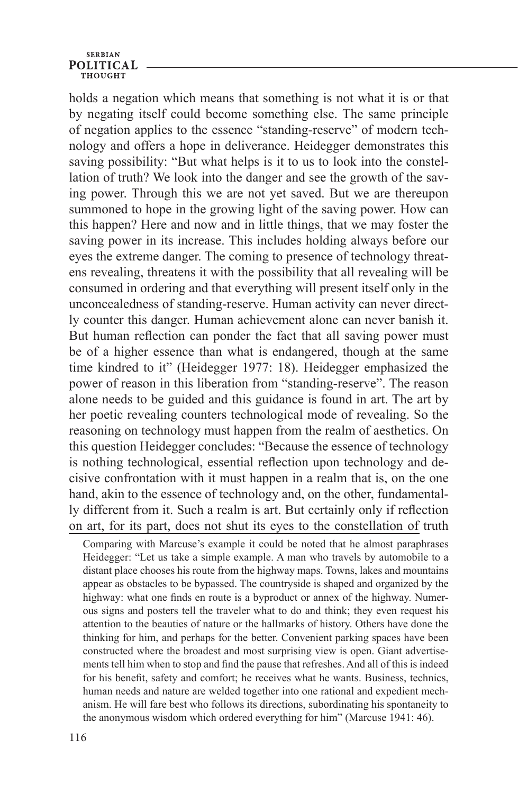holds a negation which means that something is not what it is or that by negating itself could become something else. The same principle of negation applies to the essence "standing-reserve" of modern technology and offers a hope in deliverance. Heidegger demonstrates this saving possibility: "But what helps is it to us to look into the constellation of truth? We look into the danger and see the growth of the saving power. Through this we are not yet saved. But we are thereupon summoned to hope in the growing light of the saving power. How can this happen? Here and now and in little things, that we may foster the saving power in its increase. This includes holding always before our eyes the extreme danger. The coming to presence of technology threatens revealing, threatens it with the possibility that all revealing will be consumed in ordering and that everything will present itself only in the unconcealedness of standing-reserve. Human activity can never directly counter this danger. Human achievement alone can never banish it. But human reflection can ponder the fact that all saving power must be of a higher essence than what is endangered, though at the same time kindred to it" (Heidegger 1977: 18). Heidegger emphasized the power of reason in this liberation from "standing-reserve". The reason alone needs to be guided and this guidance is found in art. The art by her poetic revealing counters technological mode of revealing. So the reasoning on technology must happen from the realm of aesthetics. On this question Heidegger concludes: "Because the essence of technology is nothing technological, essential reflection upon technology and decisive confrontation with it must happen in a realm that is, on the one hand, akin to the essence of technology and, on the other, fundamentally different from it. Such a realm is art. But certainly only if reflection on art, for its part, does not shut its eyes to the constellation of truth

Comparing with Marcuse's example it could be noted that he almost paraphrases Heidegger: "Let us take a simple example. A man who travels by automobile to a distant place chooses his route from the highway maps. Towns, lakes and mountains appear as obstacles to be bypassed. The countryside is shaped and organized by the highway: what one finds en route is a byproduct or annex of the highway. Numerous signs and posters tell the traveler what to do and think; they even request his attention to the beauties of nature or the hallmarks of history. Others have done the thinking for him, and perhaps for the better. Convenient parking spaces have been constructed where the broadest and most surprising view is open. Giant advertisements tell him when to stop and find the pause that refreshes. And all of this is indeed for his benefit, safety and comfort; he receives what he wants. Business, technics, human needs and nature are welded together into one rational and expedient mechanism. He will fare best who follows its directions, subordinating his spontaneity to the anonymous wisdom which ordered everything for him" (Marcuse 1941: 46).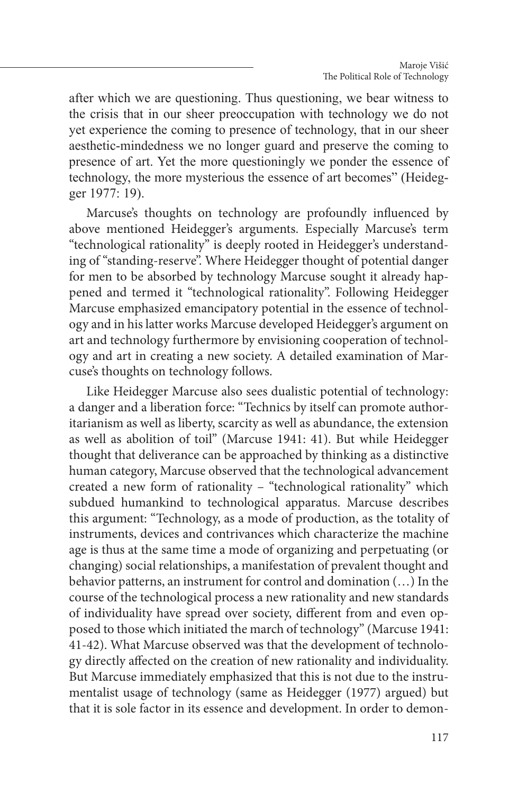after which we are questioning. Thus questioning, we bear witness to the crisis that in our sheer preoccupation with technology we do not yet experience the coming to presence of technology, that in our sheer aesthetic-mindedness we no longer guard and preserve the coming to presence of art. Yet the more questioningly we ponder the essence of technology, the more mysterious the essence of art becomes" (Heidegger 1977: 19).

Marcuse's thoughts on technology are profoundly influenced by above mentioned Heidegger's arguments. Especially Marcuse's term "technological rationality" is deeply rooted in Heidegger's understanding of "standing-reserve". Where Heidegger thought of potential danger for men to be absorbed by technology Marcuse sought it already happened and termed it "technological rationality". Following Heidegger Marcuse emphasized emancipatory potential in the essence of technology and in his latter works Marcuse developed Heidegger's argument on art and technology furthermore by envisioning cooperation of technology and art in creating a new society. A detailed examination of Marcuse's thoughts on technology follows.

Like Heidegger Marcuse also sees dualistic potential of technology: a danger and a liberation force: "Technics by itself can promote authoritarianism as well as liberty, scarcity as well as abundance, the extension as well as abolition of toil" (Marcuse 1941: 41). But while Heidegger thought that deliverance can be approached by thinking as a distinctive human category, Marcuse observed that the technological advancement created a new form of rationality – "technological rationality" which subdued humankind to technological apparatus. Marcuse describes this argument: "Technology, as a mode of production, as the totality of instruments, devices and contrivances which characterize the machine age is thus at the same time a mode of organizing and perpetuating (or changing) social relationships, a manifestation of prevalent thought and behavior patterns, an instrument for control and domination (…) In the course of the technological process a new rationality and new standards of individuality have spread over society, different from and even opposed to those which initiated the march of technology" (Marcuse 1941: 41-42). What Marcuse observed was that the development of technology directly affected on the creation of new rationality and individuality. But Marcuse immediately emphasized that this is not due to the instrumentalist usage of technology (same as Heidegger (1977) argued) but that it is sole factor in its essence and development. In order to demon-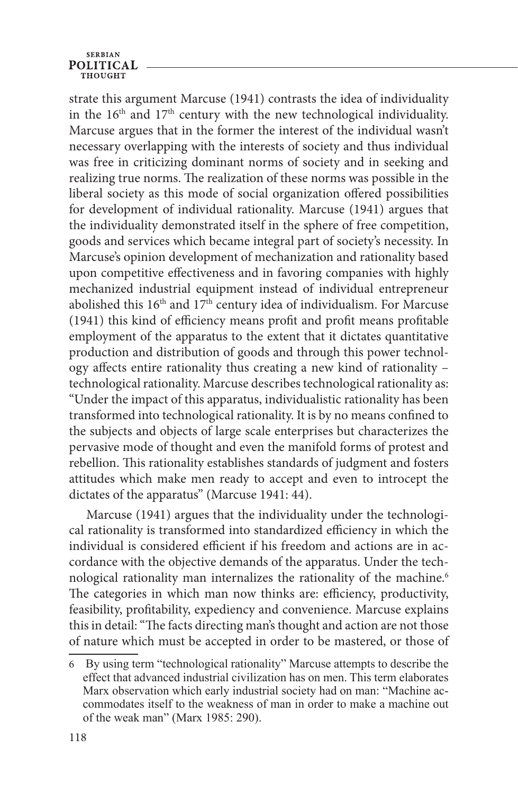strate this argument Marcuse (1941) contrasts the idea of individuality in the  $16<sup>th</sup>$  and  $17<sup>th</sup>$  century with the new technological individuality. Marcuse argues that in the former the interest of the individual wasn't necessary overlapping with the interests of society and thus individual was free in criticizing dominant norms of society and in seeking and realizing true norms. The realization of these norms was possible in the liberal society as this mode of social organization offered possibilities for development of individual rationality. Marcuse (1941) argues that the individuality demonstrated itself in the sphere of free competition, goods and services which became integral part of society's necessity. In Marcuse's opinion development of mechanization and rationality based upon competitive effectiveness and in favoring companies with highly mechanized industrial equipment instead of individual entrepreneur abolished this  $16<sup>th</sup>$  and  $17<sup>th</sup>$  century idea of individualism. For Marcuse (1941) this kind of efficiency means profit and profit means profitable employment of the apparatus to the extent that it dictates quantitative production and distribution of goods and through this power technology affects entire rationality thus creating a new kind of rationality – technological rationality. Marcuse describes technological rationality as: "Under the impact of this apparatus, individualistic rationality has been transformed into technological rationality. It is by no means confined to the subjects and objects of large scale enterprises but characterizes the pervasive mode of thought and even the manifold forms of protest and rebellion. This rationality establishes standards of judgment and fosters attitudes which make men ready to accept and even to introcept the dictates of the apparatus" (Marcuse 1941: 44).

Marcuse (1941) argues that the individuality under the technological rationality is transformed into standardized efficiency in which the individual is considered efficient if his freedom and actions are in accordance with the objective demands of the apparatus. Under the technological rationality man internalizes the rationality of the machine.<sup>6</sup> The categories in which man now thinks are: efficiency, productivity, feasibility, profitability, expediency and convenience. Marcuse explains this in detail: "The facts directing man's thought and action are not those of nature which must be accepted in order to be mastered, or those of

<sup>6</sup> By using term "technological rationality" Marcuse attempts to describe the effect that advanced industrial civilization has on men. This term elaborates Marx observation which early industrial society had on man: "Machine accommodates itself to the weakness of man in order to make a machine out of the weak man" (Marx 1985: 290).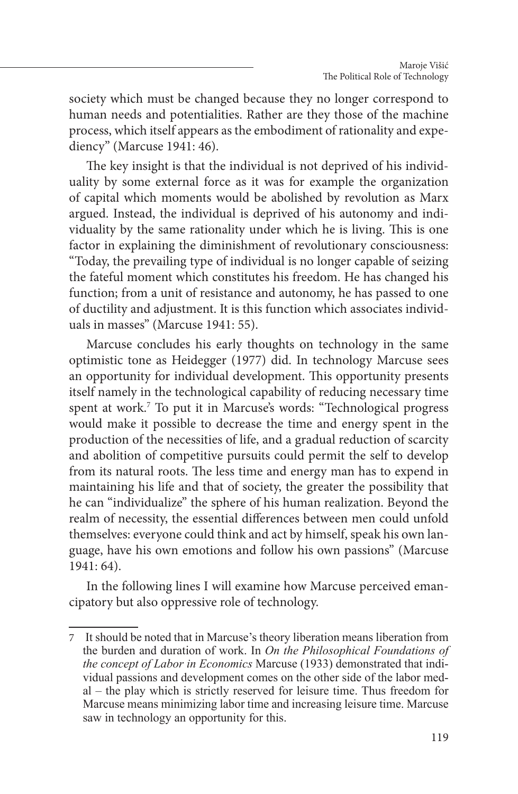society which must be changed because they no longer correspond to human needs and potentialities. Rather are they those of the machine process, which itself appears as the embodiment of rationality and expediency" (Marcuse 1941: 46).

The key insight is that the individual is not deprived of his individuality by some external force as it was for example the organization of capital which moments would be abolished by revolution as Marx argued. Instead, the individual is deprived of his autonomy and individuality by the same rationality under which he is living. This is one factor in explaining the diminishment of revolutionary consciousness: "Today, the prevailing type of individual is no longer capable of seizing the fateful moment which constitutes his freedom. He has changed his function; from a unit of resistance and autonomy, he has passed to one of ductility and adjustment. It is this function which associates individuals in masses" (Marcuse 1941: 55).

Marcuse concludes his early thoughts on technology in the same optimistic tone as Heidegger (1977) did. In technology Marcuse sees an opportunity for individual development. This opportunity presents itself namely in the technological capability of reducing necessary time spent at work.7 To put it in Marcuse's words: "Technological progress would make it possible to decrease the time and energy spent in the production of the necessities of life, and a gradual reduction of scarcity and abolition of competitive pursuits could permit the self to develop from its natural roots. The less time and energy man has to expend in maintaining his life and that of society, the greater the possibility that he can "individualize" the sphere of his human realization. Beyond the realm of necessity, the essential differences between men could unfold themselves: everyone could think and act by himself, speak his own language, have his own emotions and follow his own passions" (Marcuse 1941: 64).

In the following lines I will examine how Marcuse perceived emancipatory but also oppressive role of technology.

<sup>7</sup> It should be noted that in Marcuse's theory liberation means liberation from the burden and duration of work. In *On the Philosophical Foundations of the concept of Labor in Economics* Marcuse (1933) demonstrated that individual passions and development comes on the other side of the labor medal – the play which is strictly reserved for leisure time. Thus freedom for Marcuse means minimizing labor time and increasing leisure time. Marcuse saw in technology an opportunity for this.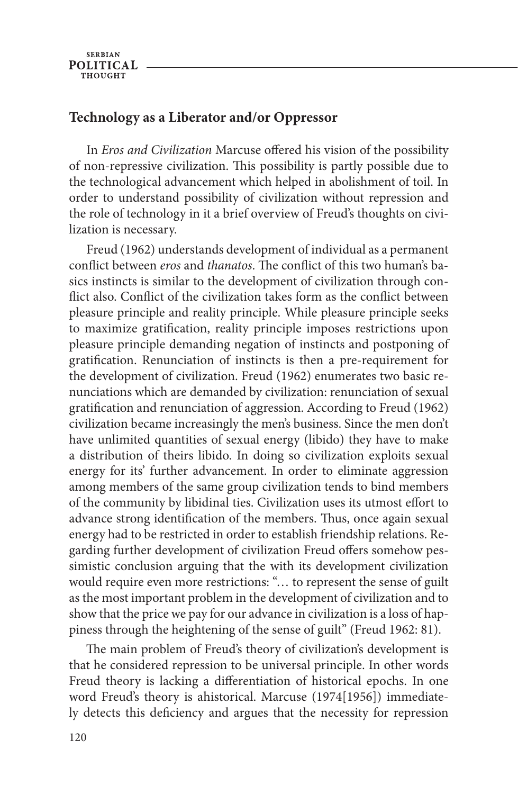# **Technology as a Liberator and/or Oppressor**

In *Eros and Civilization* Marcuse offered his vision of the possibility of non-repressive civilization. This possibility is partly possible due to the technological advancement which helped in abolishment of toil. In order to understand possibility of civilization without repression and the role of technology in it a brief overview of Freud's thoughts on civilization is necessary.

Freud (1962) understands development of individual as a permanent conflict between *eros* and *thanatos*. The conflict of this two human's basics instincts is similar to the development of civilization through conflict also. Conflict of the civilization takes form as the conflict between pleasure principle and reality principle. While pleasure principle seeks to maximize gratification, reality principle imposes restrictions upon pleasure principle demanding negation of instincts and postponing of gratification. Renunciation of instincts is then a pre-requirement for the development of civilization. Freud (1962) enumerates two basic renunciations which are demanded by civilization: renunciation of sexual gratification and renunciation of aggression. According to Freud (1962) civilization became increasingly the men's business. Since the men don't have unlimited quantities of sexual energy (libido) they have to make a distribution of theirs libido. In doing so civilization exploits sexual energy for its' further advancement. In order to eliminate aggression among members of the same group civilization tends to bind members of the community by libidinal ties. Civilization uses its utmost effort to advance strong identification of the members. Thus, once again sexual energy had to be restricted in order to establish friendship relations. Regarding further development of civilization Freud offers somehow pessimistic conclusion arguing that the with its development civilization would require even more restrictions: "… to represent the sense of guilt as the most important problem in the development of civilization and to show that the price we pay for our advance in civilization is a loss of happiness through the heightening of the sense of guilt" (Freud 1962: 81).

The main problem of Freud's theory of civilization's development is that he considered repression to be universal principle. In other words Freud theory is lacking a differentiation of historical epochs. In one word Freud's theory is ahistorical. Marcuse (1974[1956]) immediately detects this deficiency and argues that the necessity for repression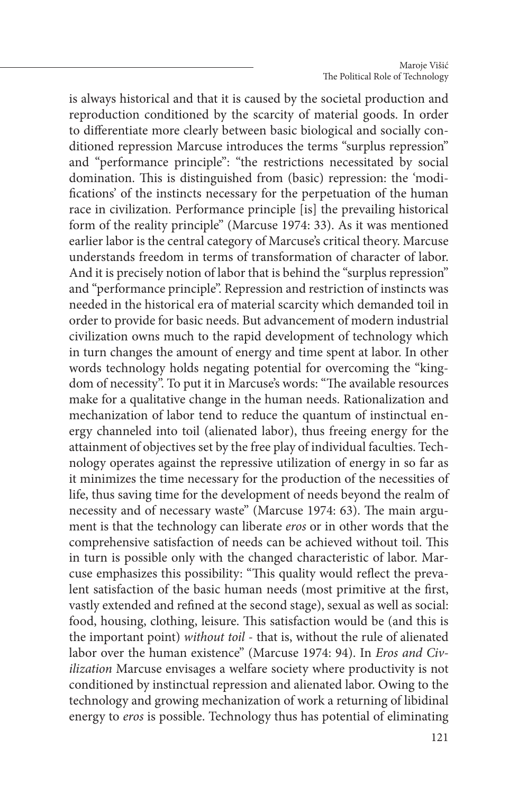is always historical and that it is caused by the societal production and reproduction conditioned by the scarcity of material goods. In order to differentiate more clearly between basic biological and socially conditioned repression Marcuse introduces the terms "surplus repression" and "performance principle": "the restrictions necessitated by social domination. This is distinguished from (basic) repression: the 'modifications' of the instincts necessary for the perpetuation of the human race in civilization*.* Performance principle [is] the prevailing historical form of the reality principle" (Marcuse 1974: 33). As it was mentioned earlier labor is the central category of Marcuse's critical theory. Marcuse understands freedom in terms of transformation of character of labor. And it is precisely notion of labor that is behind the "surplus repression" and "performance principle". Repression and restriction of instincts was needed in the historical era of material scarcity which demanded toil in order to provide for basic needs. But advancement of modern industrial civilization owns much to the rapid development of technology which in turn changes the amount of energy and time spent at labor. In other words technology holds negating potential for overcoming the "kingdom of necessity". To put it in Marcuse's words: "The available resources make for a qualitative change in the human needs. Rationalization and mechanization of labor tend to reduce the quantum of instinctual energy channeled into toil (alienated labor), thus freeing energy for the attainment of objectives set by the free play of individual faculties. Technology operates against the repressive utilization of energy in so far as it minimizes the time necessary for the production of the necessities of life, thus saving time for the development of needs beyond the realm of necessity and of necessary waste" (Marcuse 1974: 63). The main argument is that the technology can liberate *eros* or in other words that the comprehensive satisfaction of needs can be achieved without toil. This in turn is possible only with the changed characteristic of labor. Marcuse emphasizes this possibility: "This quality would reflect the prevalent satisfaction of the basic human needs (most primitive at the first, vastly extended and refined at the second stage), sexual as well as social: food, housing, clothing, leisure. This satisfaction would be (and this is the important point) *without toil* - that is, without the rule of alienated labor over the human existence" (Marcuse 1974: 94). In *Eros and Civilization* Marcuse envisages a welfare society where productivity is not conditioned by instinctual repression and alienated labor. Owing to the technology and growing mechanization of work a returning of libidinal energy to *eros* is possible. Technology thus has potential of eliminating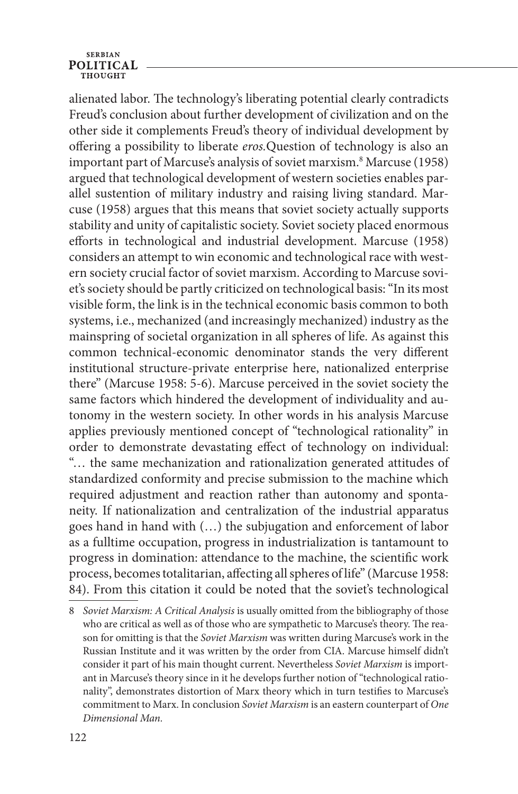alienated labor. The technology's liberating potential clearly contradicts Freud's conclusion about further development of civilization and on the other side it complements Freud's theory of individual development by offering a possibility to liberate *eros.*Question of technology is also an important part of Marcuse's analysis of soviet marxism.8 Marcuse (1958) argued that technological development of western societies enables parallel sustention of military industry and raising living standard. Marcuse (1958) argues that this means that soviet society actually supports stability and unity of capitalistic society. Soviet society placed enormous efforts in technological and industrial development. Marcuse (1958) considers an attempt to win economic and technological race with western society crucial factor of soviet marxism. According to Marcuse soviet's society should be partly criticized on technological basis: "In its most visible form, the link is in the technical economic basis common to both systems, i.e., mechanized (and increasingly mechanized) industry as the mainspring of societal organization in all spheres of life. As against this common technical-economic denominator stands the very different institutional structure-private enterprise here, nationalized enterprise there" (Marcuse 1958: 5-6). Marcuse perceived in the soviet society the same factors which hindered the development of individuality and autonomy in the western society. In other words in his analysis Marcuse applies previously mentioned concept of "technological rationality" in order to demonstrate devastating effect of technology on individual: "… the same mechanization and rationalization generated attitudes of standardized conformity and precise submission to the machine which required adjustment and reaction rather than autonomy and spontaneity. If nationalization and centralization of the industrial apparatus goes hand in hand with (…) the subjugation and enforcement of labor as a fulltime occupation, progress in industrialization is tantamount to progress in domination: attendance to the machine, the scientific work process, becomes totalitarian, affecting all spheres of life" (Marcuse 1958: 84). From this citation it could be noted that the soviet's technological

<sup>8</sup> *Soviet Marxism: A Critical Analysis* is usually omitted from the bibliography of those who are critical as well as of those who are sympathetic to Marcuse's theory. The reason for omitting is that the *Soviet Marxism* was written during Marcuse's work in the Russian Institute and it was written by the order from CIA. Marcuse himself didn't consider it part of his main thought current. Nevertheless *Soviet Marxism* is important in Marcuse's theory since in it he develops further notion of "technological rationality", demonstrates distortion of Marx theory which in turn testifies to Marcuse's commitment to Marx. In conclusion *Soviet Marxism* is an eastern counterpart of *One Dimensional Man.*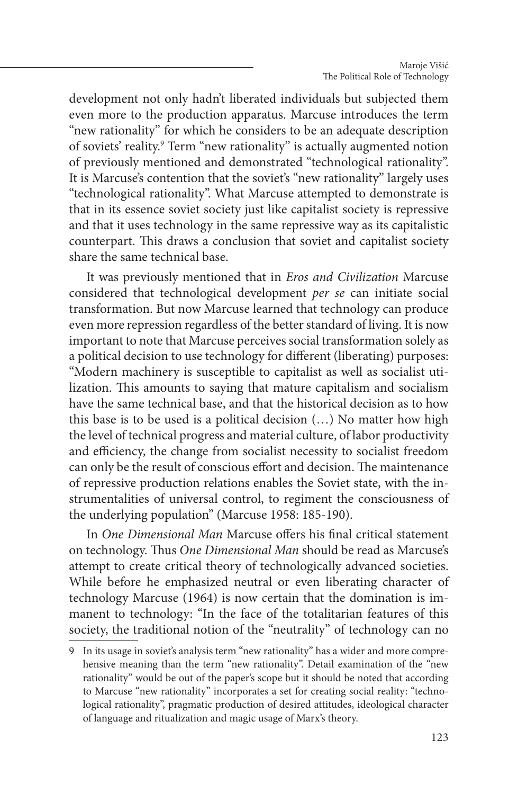development not only hadn't liberated individuals but subjected them even more to the production apparatus. Marcuse introduces the term "new rationality" for which he considers to be an adequate description of soviets' reality.<sup>9</sup> Term "new rationality" is actually augmented notion of previously mentioned and demonstrated "technological rationality". It is Marcuse's contention that the soviet's "new rationality" largely uses "technological rationality". What Marcuse attempted to demonstrate is that in its essence soviet society just like capitalist society is repressive and that it uses technology in the same repressive way as its capitalistic counterpart. This draws a conclusion that soviet and capitalist society share the same technical base.

It was previously mentioned that in *Eros and Civilization* Marcuse considered that technological development *per se* can initiate social transformation. But now Marcuse learned that technology can produce even more repression regardless of the better standard of living. It is now important to note that Marcuse perceives social transformation solely as a political decision to use technology for different (liberating) purposes: "Modern machinery is susceptible to capitalist as well as socialist utilization. This amounts to saying that mature capitalism and socialism have the same technical base, and that the historical decision as to how this base is to be used is a political decision (…) No matter how high the level of technical progress and material culture, of labor productivity and efficiency, the change from socialist necessity to socialist freedom can only be the result of conscious effort and decision. The maintenance of repressive production relations enables the Soviet state, with the instrumentalities of universal control, to regiment the consciousness of the underlying population" (Marcuse 1958: 185-190).

In *One Dimensional Man* Marcuse offers his final critical statement on technology. Thus *One Dimensional Man* should be read as Marcuse's attempt to create critical theory of technologically advanced societies. While before he emphasized neutral or even liberating character of technology Marcuse (1964) is now certain that the domination is immanent to technology: "In the face of the totalitarian features of this society, the traditional notion of the "neutrality" of technology can no

<sup>9</sup> In its usage in soviet's analysis term "new rationality" has a wider and more comprehensive meaning than the term "new rationality". Detail examination of the "new rationality" would be out of the paper's scope but it should be noted that according to Marcuse "new rationality" incorporates a set for creating social reality: "technological rationality", pragmatic production of desired attitudes, ideological character of language and ritualization and magic usage of Marx's theory.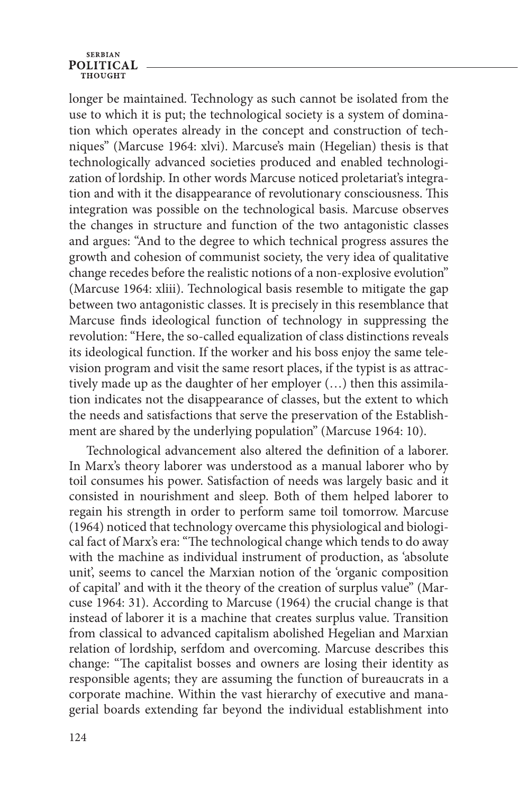longer be maintained. Technology as such cannot be isolated from the use to which it is put; the technological society is a system of domination which operates already in the concept and construction of techniques" (Marcuse 1964: xlvi). Marcuse's main (Hegelian) thesis is that technologically advanced societies produced and enabled technologization of lordship. In other words Marcuse noticed proletariat's integration and with it the disappearance of revolutionary consciousness. This integration was possible on the technological basis. Marcuse observes the changes in structure and function of the two antagonistic classes and argues: "And to the degree to which technical progress assures the growth and cohesion of communist society, the very idea of qualitative change recedes before the realistic notions of a non-explosive evolution" (Marcuse 1964: xliii). Technological basis resemble to mitigate the gap between two antagonistic classes. It is precisely in this resemblance that Marcuse finds ideological function of technology in suppressing the revolution: "Here, the so-called equalization of class distinctions reveals its ideological function. If the worker and his boss enjoy the same television program and visit the same resort places, if the typist is as attractively made up as the daughter of her employer (…) then this assimilation indicates not the disappearance of classes, but the extent to which the needs and satisfactions that serve the preservation of the Establishment are shared by the underlying population" (Marcuse 1964: 10).

Technological advancement also altered the definition of a laborer. In Marx's theory laborer was understood as a manual laborer who by toil consumes his power. Satisfaction of needs was largely basic and it consisted in nourishment and sleep. Both of them helped laborer to regain his strength in order to perform same toil tomorrow. Marcuse (1964) noticed that technology overcame this physiological and biological fact of Marx's era: "The technological change which tends to do away with the machine as individual instrument of production, as 'absolute unit', seems to cancel the Marxian notion of the 'organic composition of capital' and with it the theory of the creation of surplus value" (Marcuse 1964: 31). According to Marcuse (1964) the crucial change is that instead of laborer it is a machine that creates surplus value. Transition from classical to advanced capitalism abolished Hegelian and Marxian relation of lordship, serfdom and overcoming. Marcuse describes this change: "The capitalist bosses and owners are losing their identity as responsible agents; they are assuming the function of bureaucrats in a corporate machine. Within the vast hierarchy of executive and managerial boards extending far beyond the individual establishment into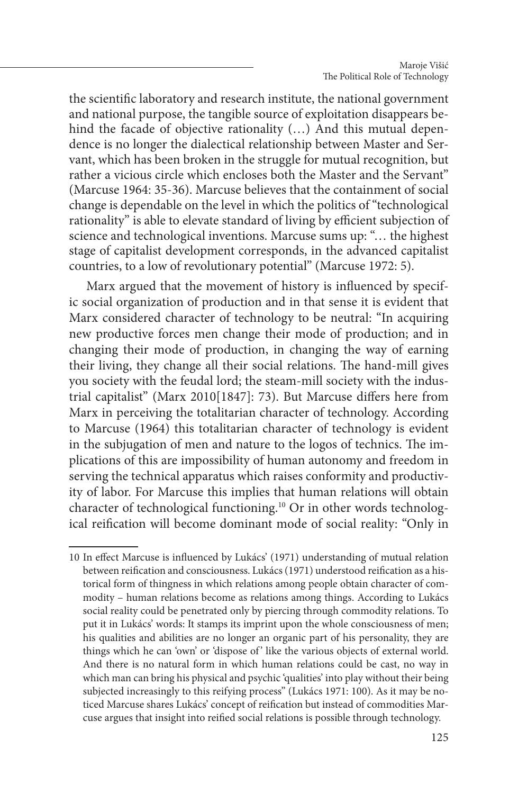the scientific laboratory and research institute, the national government and national purpose, the tangible source of exploitation disappears behind the facade of objective rationality (...) And this mutual dependence is no longer the dialectical relationship between Master and Servant, which has been broken in the struggle for mutual recognition, but rather a vicious circle which encloses both the Master and the Servant" (Marcuse 1964: 35-36). Marcuse believes that the containment of social change is dependable on the level in which the politics of "technological rationality" is able to elevate standard of living by efficient subjection of science and technological inventions. Marcuse sums up: "… the highest stage of capitalist development corresponds, in the advanced capitalist countries, to a low of revolutionary potential" (Marcuse 1972: 5).

Marx argued that the movement of history is influenced by specific social organization of production and in that sense it is evident that Marx considered character of technology to be neutral: "In acquiring new productive forces men change their mode of production; and in changing their mode of production, in changing the way of earning their living, they change all their social relations. The hand-mill gives you society with the feudal lord; the steam-mill society with the industrial capitalist" (Marx 2010[1847]: 73). But Marcuse differs here from Marx in perceiving the totalitarian character of technology. According to Marcuse (1964) this totalitarian character of technology is evident in the subjugation of men and nature to the logos of technics. The implications of this are impossibility of human autonomy and freedom in serving the technical apparatus which raises conformity and productivity of labor. For Marcuse this implies that human relations will obtain character of technological functioning.10 Or in other words technological reification will become dominant mode of social reality: "Only in

<sup>10</sup> In effect Marcuse is influenced by Lukács' (1971) understanding of mutual relation between reification and consciousness. Lukács (1971) understood reification as a historical form of thingness in which relations among people obtain character of commodity – human relations become as relations among things. According to Lukács social reality could be penetrated only by piercing through commodity relations. To put it in Lukács' words: It stamps its imprint upon the whole consciousness of men; his qualities and abilities are no longer an organic part of his personality, they are things which he can 'own' or 'dispose of' like the various objects of external world. And there is no natural form in which human relations could be cast, no way in which man can bring his physical and psychic 'qualities' into play without their being subjected increasingly to this reifying process" (Lukács 1971: 100). As it may be noticed Marcuse shares Lukács' concept of reification but instead of commodities Marcuse argues that insight into reified social relations is possible through technology.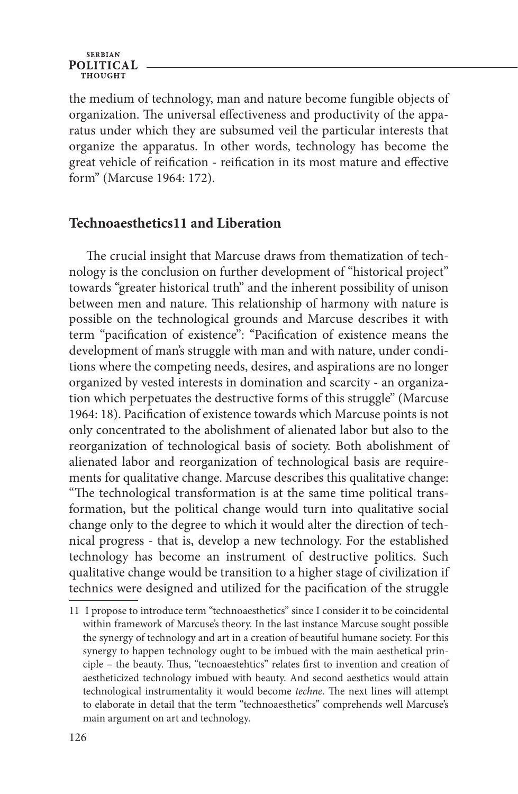the medium of technology, man and nature become fungible objects of organization. The universal effectiveness and productivity of the apparatus under which they are subsumed veil the particular interests that organize the apparatus. In other words, technology has become the great vehicle of reification - reification in its most mature and effective form" (Marcuse 1964: 172).

### **Technoaesthetics11 and Liberation**

The crucial insight that Marcuse draws from thematization of technology is the conclusion on further development of "historical project" towards "greater historical truth" and the inherent possibility of unison between men and nature. This relationship of harmony with nature is possible on the technological grounds and Marcuse describes it with term "pacification of existence": "Pacification of existence means the development of man's struggle with man and with nature, under conditions where the competing needs, desires, and aspirations are no longer organized by vested interests in domination and scarcity - an organization which perpetuates the destructive forms of this struggle" (Marcuse 1964: 18). Pacification of existence towards which Marcuse points is not only concentrated to the abolishment of alienated labor but also to the reorganization of technological basis of society. Both abolishment of alienated labor and reorganization of technological basis are requirements for qualitative change. Marcuse describes this qualitative change: "The technological transformation is at the same time political transformation, but the political change would turn into qualitative social change only to the degree to which it would alter the direction of technical progress - that is, develop a new technology. For the established technology has become an instrument of destructive politics. Such qualitative change would be transition to a higher stage of civilization if technics were designed and utilized for the pacification of the struggle

<sup>11</sup> I propose to introduce term "technoaesthetics" since I consider it to be coincidental within framework of Marcuse's theory. In the last instance Marcuse sought possible the synergy of technology and art in a creation of beautiful humane society. For this synergy to happen technology ought to be imbued with the main aesthetical principle – the beauty. Thus, "tecnoaestehtics" relates first to invention and creation of aestheticized technology imbued with beauty. And second aesthetics would attain technological instrumentality it would become *techne*. The next lines will attempt to elaborate in detail that the term "technoaesthetics" comprehends well Marcuse's main argument on art and technology.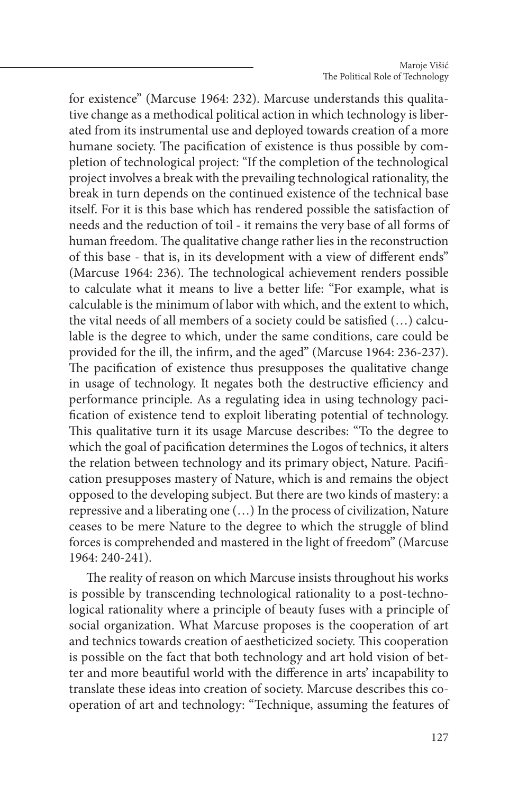for existence" (Marcuse 1964: 232). Marcuse understands this qualitative change as a methodical political action in which technology is liberated from its instrumental use and deployed towards creation of a more humane society. The pacification of existence is thus possible by completion of technological project: "If the completion of the technological project involves a break with the prevailing technological rationality, the break in turn depends on the continued existence of the technical base itself. For it is this base which has rendered possible the satisfaction of needs and the reduction of toil - it remains the very base of all forms of human freedom. The qualitative change rather lies in the reconstruction of this base - that is, in its development with a view of different ends" (Marcuse 1964: 236). The technological achievement renders possible to calculate what it means to live a better life: "For example, what is calculable is the minimum of labor with which, and the extent to which, the vital needs of all members of a society could be satisfied (…) calculable is the degree to which, under the same conditions, care could be provided for the ill, the infirm, and the aged" (Marcuse 1964: 236-237). The pacification of existence thus presupposes the qualitative change in usage of technology. It negates both the destructive efficiency and performance principle. As a regulating idea in using technology pacification of existence tend to exploit liberating potential of technology. This qualitative turn it its usage Marcuse describes: "To the degree to which the goal of pacification determines the Logos of technics, it alters the relation between technology and its primary object, Nature. Pacification presupposes mastery of Nature, which is and remains the object opposed to the developing subject. But there are two kinds of mastery: a repressive and a liberating one (…) In the process of civilization, Nature ceases to be mere Nature to the degree to which the struggle of blind forces is comprehended and mastered in the light of freedom" (Marcuse 1964: 240-241).

The reality of reason on which Marcuse insists throughout his works is possible by transcending technological rationality to a post-technological rationality where a principle of beauty fuses with a principle of social organization. What Marcuse proposes is the cooperation of art and technics towards creation of aestheticized society. This cooperation is possible on the fact that both technology and art hold vision of better and more beautiful world with the difference in arts' incapability to translate these ideas into creation of society. Marcuse describes this cooperation of art and technology: "Technique, assuming the features of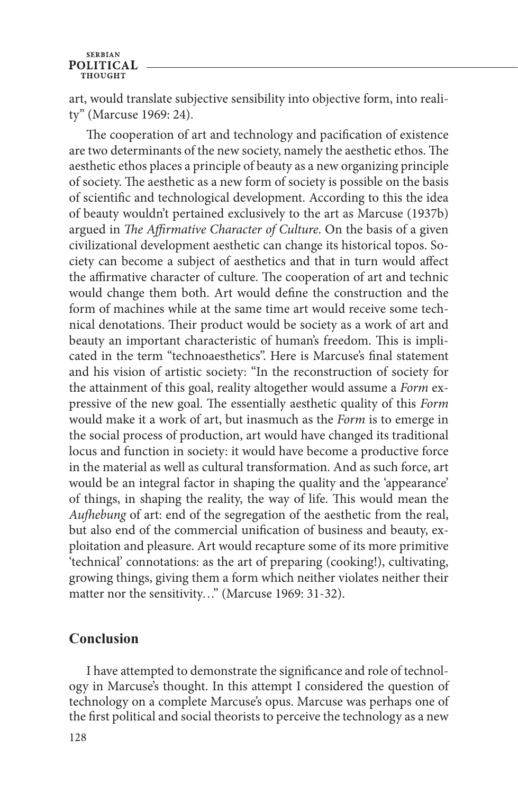art, would translate subjective sensibility into objective form, into reality" (Marcuse 1969: 24).

The cooperation of art and technology and pacification of existence are two determinants of the new society, namely the aesthetic ethos. The aesthetic ethos places a principle of beauty as a new organizing principle of society. The aesthetic as a new form of society is possible on the basis of scientific and technological development. According to this the idea of beauty wouldn't pertained exclusively to the art as Marcuse (1937b) argued in *The Affirmative Character of Culture*. On the basis of a given civilizational development aesthetic can change its historical topos. Society can become a subject of aesthetics and that in turn would affect the affirmative character of culture. The cooperation of art and technic would change them both. Art would define the construction and the form of machines while at the same time art would receive some technical denotations. Their product would be society as a work of art and beauty an important characteristic of human's freedom. This is implicated in the term "technoaesthetics". Here is Marcuse's final statement and his vision of artistic society: "In the reconstruction of society for the attainment of this goal, reality altogether would assume a *Form* expressive of the new goal. The essentially aesthetic quality of this *Form* would make it a work of art, but inasmuch as the *Form* is to emerge in the social process of production, art would have changed its traditional locus and function in society: it would have become a productive force in the material as well as cultural transformation. And as such force, art would be an integral factor in shaping the quality and the 'appearance' of things, in shaping the reality, the way of life. This would mean the *Aufhebung* of art: end of the segregation of the aesthetic from the real, but also end of the commercial unification of business and beauty, exploitation and pleasure. Art would recapture some of its more primitive 'technical' connotations: as the art of preparing (cooking!), cultivating, growing things, giving them a form which neither violates neither their matter nor the sensitivity…" (Marcuse 1969: 31-32).

# **Conclusion**

I have attempted to demonstrate the significance and role of technology in Marcuse's thought. In this attempt I considered the question of technology on a complete Marcuse's opus. Marcuse was perhaps one of the first political and social theorists to perceive the technology as a new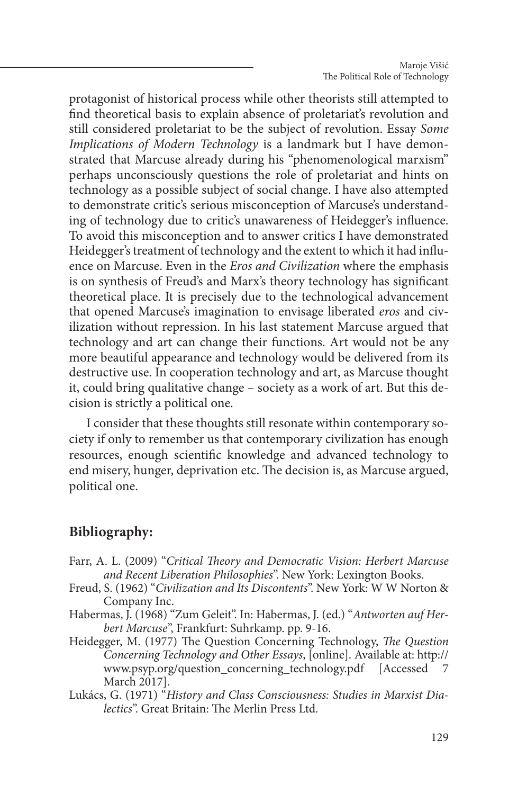protagonist of historical process while other theorists still attempted to find theoretical basis to explain absence of proletariat's revolution and still considered proletariat to be the subject of revolution. Essay *Some Implications of Modern Technology* is a landmark but I have demonstrated that Marcuse already during his "phenomenological marxism" perhaps unconsciously questions the role of proletariat and hints on technology as a possible subject of social change. I have also attempted to demonstrate critic's serious misconception of Marcuse's understanding of technology due to critic's unawareness of Heidegger's influence. To avoid this misconception and to answer critics I have demonstrated Heidegger's treatment of technology and the extent to which it had influence on Marcuse. Even in the *Eros and Civilization* where the emphasis is on synthesis of Freud's and Marx's theory technology has significant theoretical place. It is precisely due to the technological advancement that opened Marcuse's imagination to envisage liberated *eros* and civilization without repression. In his last statement Marcuse argued that technology and art can change their functions. Art would not be any more beautiful appearance and technology would be delivered from its destructive use. In cooperation technology and art, as Marcuse thought it, could bring qualitative change – society as a work of art. But this decision is strictly a political one.

I consider that these thoughts still resonate within contemporary society if only to remember us that contemporary civilization has enough resources, enough scientific knowledge and advanced technology to end misery, hunger, deprivation etc. The decision is, as Marcuse argued, political one.

# **Bibliography:**

- Farr, A. L. (2009) "*Critical Theory and Democratic Vision: Herbert Marcuse and Recent Liberation Philosophies*". New York: Lexington Books.
- Freud, S. (1962) "*Civilization and Its Discontents*". New York: W W Norton & Company Inc.
- Habermas, J. (1968) "Zum Geleit". In: Habermas, J. (ed.) "*Antworten auf Herbert Marcuse*", Frankfurt: Suhrkamp. pp. 9-16.
- Heidegger, M. (1977) The Question Concerning Technology, *The Question Concerning Technology and Other Essays*, [online]. Available at: http:// www.psyp.org/question\_concerning\_technology.pdf [Accessed 7 March 2017].
- Lukács, G. (1971) "*History and Class Consciousness: Studies in Marxist Dialectics*". Great Britain: The Merlin Press Ltd.